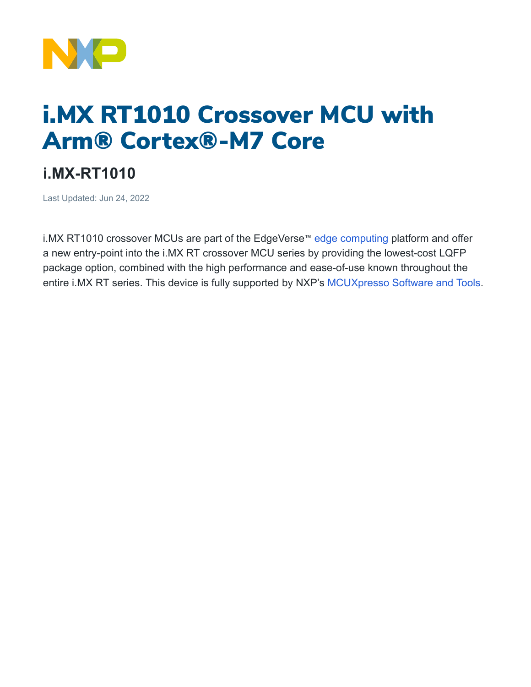

## i.MX RT1010 Crossover MCU with Arm® Cortex®-M7 Core

## **i.MX-RT1010**

Last Updated: Jun 24, 2022

i.MX RT1010 crossover MCUs are part of the EdgeVerse<sup>™</sup> [edge computing](https://www.nxp.com/applications/enabling-technologies/edge-computing:EDGE-COMPUTING) platform and offer a new entry-point into the i.MX RT crossover MCU series by providing the lowest-cost LQFP package option, combined with the high performance and ease-of-use known throughout the entire i.MX RT series. This device is fully supported by NXP's [MCUXpresso](https://www.nxp.com/design/software/development-software/mcuxpresso-software-and-tools-:MCUXPRESSO) Software and Tools.